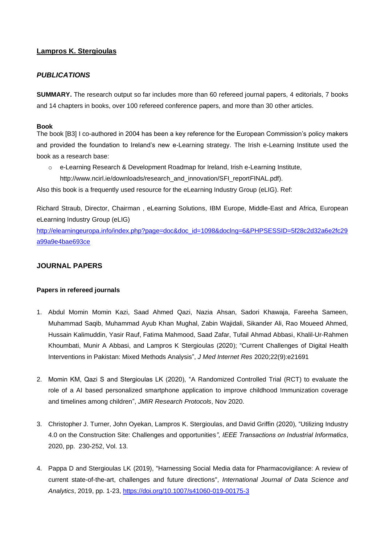# **Lampros K. Stergioulas**

# *PUBLICATIONS*

**SUMMARY.** The research output so far includes more than 60 refereed journal papers, 4 editorials, 7 books and 14 chapters in books, over 100 refereed conference papers, and more than 30 other articles.

## **Book**

The book [B3] I co-authored in 2004 has been a key reference for the European Commission's policy makers and provided the foundation to Ireland's new e-Learning strategy. The Irish e-Learning Institute used the book as a research base:

 $\circ$  e-Learning Research & Development Roadmap for Ireland, Irish e-Learning Institute, http://www.ncirl.ie/downloads/research\_and\_innovation/SFI\_reportFINAL.pdf).

Also this book is a frequently used resource for the eLearning Industry Group (eLIG). Ref:

Richard Straub, Director, Chairman , eLearning Solutions, IBM Europe, Middle-East and Africa, European eLearning Industry Group (eLIG)

[http://elearningeuropa.info/index.php?page=doc&doc\\_id=1098&doclng=6&PHPSESSID=5f28c2d32a6e2fc29](http://elearningeuropa.info/index.php?page=doc&doc_id=1098&doclng=6&PHPSESSID=5f28c2d32a6e2fc29a99a9e4bae693ce) [a99a9e4bae693ce](http://elearningeuropa.info/index.php?page=doc&doc_id=1098&doclng=6&PHPSESSID=5f28c2d32a6e2fc29a99a9e4bae693ce)

## **JOURNAL PAPERS**

## **Papers in refereed journals**

- 1. Abdul Momin Momin Kazi, Saad Ahmed Qazi, Nazia Ahsan, Sadori Khawaja, Fareeha Sameen, Muhammad Saqib, Muhammad Ayub Khan Mughal, Zabin Wajidali, Sikander Ali, Rao Moueed Ahmed, Hussain Kalimuddin, Yasir Rauf, Fatima Mahmood, Saad Zafar, Tufail Ahmad Abbasi, Khalil-Ur-Rahmen Khoumbati, Munir A Abbasi, and Lampros K Stergioulas (2020); "Current Challenges of Digital Health Interventions in Pakistan: Mixed Methods Analysis", *J Med Internet Res* 2020;22(9):e21691
- 2. Momin KM, Qazi S and Stergioulas LK (2020), "A Randomized Controlled Trial (RCT) to evaluate the role of a AI based personalized smartphone application to improve childhood Immunization coverage and timelines among children", *JMIR Research Protocols*, Nov 2020.
- 3. Christopher J. Turner, John Oyekan, Lampros K. Stergioulas, and David Griffin (2020), "Utilizing Industry 4.0 on the Construction Site: Challenges and opportunities*", IEEE Transactions on Industrial Informatics*, 2020, pp. 230-252, Vol. 13.
- 4. Pappa D and Stergioulas LK (2019), "Harnessing Social Media data for Pharmacovigilance: A review of current state-of-the-art, challenges and future directions", *International Journal of Data Science and Analytics*, 2019, pp. 1-23, <https://doi.org/10.1007/s41060-019-00175-3>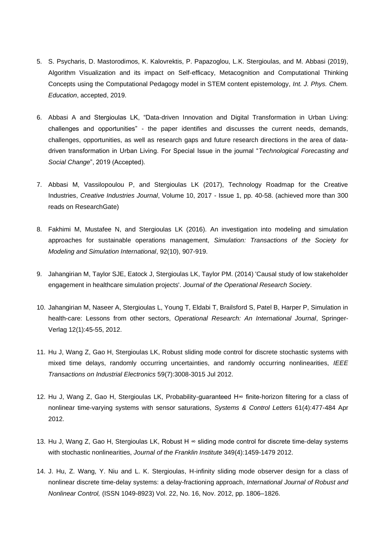- 5. S. Psycharis, D. Mastorodimos, K. Kalovrektis, P. Papazoglou, L.K. Stergioulas, and M. Abbasi (2019), Algorithm Visualization and its impact on Self-efficacy, Metacognition and Computational Thinking Concepts using the Computational Pedagogy model in STEM content epistemology, *Int. J. Phys. Chem. Education*, accepted, 2019.
- 6. Abbasi A and Stergioulas LK, "Data-driven Innovation and Digital Transformation in Urban Living: challenges and opportunities" - the paper identifies and discusses the current needs, demands, challenges, opportunities, as well as research gaps and future research directions in the area of datadriven transformation in Urban Living. For Special Issue in the journal "*Technological Forecasting and Social Change*", 2019 (Accepted).
- 7. Abbasi M, Vassilopoulou P, and Stergioulas LK (2017), Technology Roadmap for the Creative Industries, *Creative Industries Journal*, Volume 10, 2017 - Issue 1, pp. 40-58. (achieved more than 300 reads on ResearchGate)
- 8. Fakhimi M, Mustafee N, and Stergioulas LK (2016). An investigation into modeling and simulation approaches for sustainable operations management, *Simulation: Transactions of the Society for Modeling and Simulation International*, 92(10), 907-919.
- 9. Jahangirian M, Taylor SJE, Eatock J, Stergioulas LK, Taylor PM. (2014) 'Causal study of low stakeholder engagement in healthcare simulation projects'. *Journal of the Operational Research Society*.
- 10. Jahangirian M, Naseer A, Stergioulas L, Young T, Eldabi T, Brailsford S, Patel B, Harper P, Simulation in health-care: Lessons from other sectors, *Operational Research: An International Journal*, Springer-Verlag 12(1):45-55, 2012.
- 11. Hu J, Wang Z, Gao H, Stergioulas LK, Robust sliding mode control for discrete stochastic systems with mixed time delays, randomly occurring uncertainties, and randomly occurring nonlinearities, *IEEE Transactions on Industrial Electronics* 59(7):3008-3015 Jul 2012.
- 12. Hu J, Wang Z, Gao H, Stergioulas LK, Probability-guaranteed H∞ finite-horizon filtering for a class of nonlinear time-varying systems with sensor saturations, *Systems & Control Letters* 61(4):477-484 Apr 2012.
- 13. Hu J, Wang Z, Gao H, Stergioulas LK, Robust H ∞ sliding mode control for discrete time-delay systems with stochastic nonlinearities, *Journal of the Franklin Institute* 349(4):1459-1479 2012.
- 14. J. Hu, Z. Wang, Y. Niu and L. K. Stergioulas, H-infinity sliding mode observer design for a class of nonlinear discrete time-delay systems: a delay-fractioning approach, *International Journal of Robust and Nonlinear Control,* (ISSN 1049-8923) Vol. 22, No. 16, Nov. 2012, pp. 1806–1826.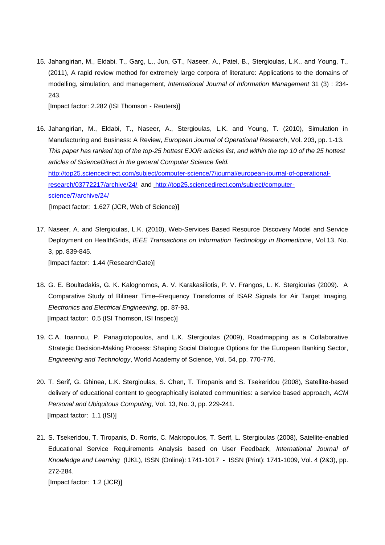15. Jahangirian, M., Eldabi, T., Garg, L., Jun, GT., Naseer, A., Patel, B., Stergioulas, L.K., and Young, T., (2011), A rapid review method for extremely large corpora of literature: Applications to the domains of modelling, simulation, and management, *International Journal of Information Management* 31 (3) : 234- 243.

[Impact factor: 2.282 (ISI Thomson - Reuters)]

16. Jahangirian, M., Eldabi, T., Naseer, A., Stergioulas, L.K. and Young, T. (2010), Simulation in Manufacturing and Business: A Review, *European Journal of Operational Research*, Vol. 203, pp. 1-13. *This paper has ranked top of the top-25 hottest EJOR articles list, and within the top 10 of the 25 hottest articles of ScienceDirect in the general Computer Science field.* [http://top25.sciencedirect.com/subject/computer-science/7/journal/european-journal-of-operational](http://top25.sciencedirect.com/subject/computer-science/7/journal/european-journal-of-operational-research/03772217/archive/24/)[research/03772217/archive/24/](http://top25.sciencedirect.com/subject/computer-science/7/journal/european-journal-of-operational-research/03772217/archive/24/) and [http://top25.sciencedirect.com/subject/computer](https://owa1.brunel.ac.uk/exchweb/bin/redir.asp?URL=http://top25.sciencedirect.com/subject/computer-science/7/archive/24/)[science/7/archive/24/](https://owa1.brunel.ac.uk/exchweb/bin/redir.asp?URL=http://top25.sciencedirect.com/subject/computer-science/7/archive/24/)

[Impact factor: 1.627 (JCR, Web of Science)]

- 17. Naseer, A. and Stergioulas, L.K. (2010), Web-Services Based Resource Discovery Model and Service Deployment on HealthGrids, *IEEE Transactions on Information Technology in Biomedicine*, Vol.13, No. 3, pp. 839-845. [Impact factor: 1.44 (ResearchGate)]
- 18. G. E. Boultadakis, G. K. Kalognomos, A. V. Karakasiliotis, P. V. Frangos, L. K. Stergioulas (2009). A Comparative Study of Bilinear Time–Frequency Transforms of ISAR Signals for Air Target Imaging, *Electronics and Electrical Engineering*, pp. 87-93. [Impact factor: 0.5 (ISI Thomson, ISI Inspec)]
- 19. C.A. Ioannou, P. Panagiotopoulos, and L.K. Stergioulas (2009), Roadmapping as a Collaborative Strategic Decision-Making Process: Shaping Social Dialogue Options for the European Banking Sector, *Engineering and Technology*, World Academy of Science, Vol. 54, pp. 770-776.
- 20. T. Serif, G. Ghinea, L.K. Stergioulas, S. Chen, T. Tiropanis and S. Tsekeridou (2008), Satellite-based delivery of educational content to geographically isolated communities: a service based approach, *ACM Personal and Ubiquitous Computing*, Vol. 13, No. 3, pp. 229-241. [Impact factor: 1.1 (ISI)]
- 21. S. Tsekeridou, T. Tiropanis, D. Rorris, C. Makropoulos, T. Serif, L. Stergioulas (2008), Satellite-enabled Educational Service Requirements Analysis based on User Feedback, *International Journal of Knowledge and Learning* (IJKL), ISSN (Online): 1741-1017 - ISSN (Print): 1741-1009, Vol. 4 (2&3), pp. 272-284.

[Impact factor: 1.2 (JCR)]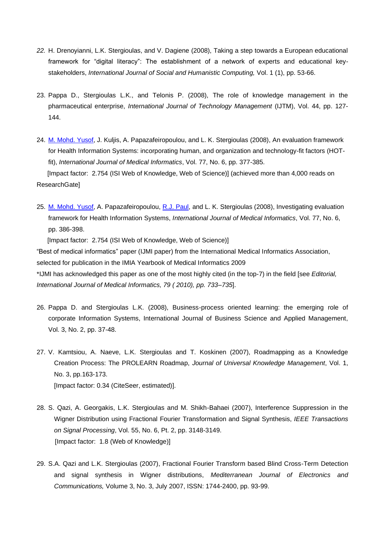- *22.* H. Drenoyianni, L.K. Stergioulas, and V. Dagiene (2008), Taking a step towards a European educational framework for "digital literacy": The establishment of a network of experts and educational keystakeholders, *International Journal of Social and Humanistic Computing,* Vol. 1 (1), pp. 53-66.
- 23. Pappa D., Stergioulas L.K., and Telonis P. (2008), The role of knowledge management in the pharmaceutical enterprise, *International Journal of Technology Management* (IJTM), Vol. 44, pp. 127- 144.
- 24. [M. Mohd. Yusof,](http://www.informatik.uni-trier.de/~ley/db/indices/a-tree/y/Yusof:Maryati_Mohd=.html) J. Kuljis, A. Papazafeiropoulou, and L. K. Stergioulas (2008), An evaluation framework for Health Information Systems: incorporating human, and organization and technology-fit factors (HOTfit), *International Journal of Medical Informatics*, Vol. 77, No. 6, pp. 377-385. [Impact factor: 2.754 (ISI Web of Knowledge, Web of Science)] (achieved more than 4,000 reads on ResearchGate]
- 25. [M. Mohd. Yusof,](http://www.informatik.uni-trier.de/~ley/db/indices/a-tree/y/Yusof:Maryati_Mohd=.html) A. Papazafeiropoulou, [R.J. Paul,](http://www.informatik.uni-trier.de/~ley/db/indices/a-tree/p/Paul:Ray_J=.html) and L. K. Stergioulas (2008), Investigating evaluation framework for Health Information Systems, *International Journal of Medical Informatics*, Vol. 77, No. 6, pp. 386-398.

[Impact factor: 2.754 (ISI Web of Knowledge, Web of Science)]

"Best of medical informatics" paper (IJMI paper) from the International Medical Informatics Association, selected for publication in the IMIA Yearbook of Medical Informatics 2009 \*IJMI has acknowledged this paper as one of the most highly cited (in the top-7) in the field [see *Editorial, International Journal of Medical Informatics, 79 ( 2010), pp. 733–735*].

- 26. Pappa D. and Stergioulas L.K. (2008), Business-process oriented learning: the emerging role of corporate Information Systems, International Journal of Business Science and Applied Management, Vol. 3, No. 2, pp. 37-48.
- 27. V. Kamtsiou, A. Naeve, L.K. Stergioulas and T. Koskinen (2007), Roadmapping as a Knowledge Creation Process: The PROLEARN Roadmap, *Journal of Universal Knowledge Management*, Vol. 1, No. 3, pp.163-173. [Impact factor: 0.34 (CiteSeer, estimated)].
- 28. S. Qazi, A. Georgakis, L.K. Stergioulas and M. Shikh-Bahaei (2007), Interference Suppression in the Wigner Distribution using Fractional Fourier Transformation and Signal Synthesis, *IEEE Transactions on Signal Processing*, Vol. 55, No. 6, Pt. 2, pp. 3148-3149. [Impact factor: 1.8 (Web of Knowledge)]
- 29. S.A. Qazi and L.K. Stergioulas (2007), Fractional Fourier Transform based Blind Cross-Term Detection and signal synthesis in Wigner distributions, *Mediterranean Journal of Electronics and Communications,* Volume 3, No. 3, July 2007, ISSN: 1744-2400, pp. 93-99.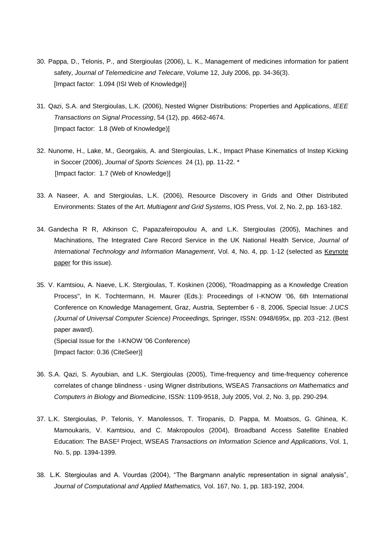- 30. Pappa, D., Telonis, P., and Stergioulas (2006), L. K., Management of medicines information for patient safety, *Journal of Telemedicine and Telecare*, Volume 12, July 2006, pp. 34-36(3). [Impact factor: 1.094 (ISI Web of Knowledge)]
- 31. Qazi, S.A. and Stergioulas, L.K. (2006), Nested Wigner Distributions: Properties and Applications, *IEEE Transactions on Signal Processing*, 54 (12), pp. 4662-4674. [Impact factor: 1.8 (Web of Knowledge)]
- 32. Nunome, H., Lake, M., Georgakis, A. and Stergioulas, L.K., Impact Phase Kinematics of Instep Kicking in Soccer (2006), *Journal of Sports Sciences* 24 (1), pp. 11-22. \* [Impact factor: 1.7 (Web of Knowledge)]
- 33. A Naseer, A. and Stergioulas, L.K. (2006), Resource Discovery in Grids and Other Distributed Environments: States of the Art. *Multiagent and Grid Systems*, IOS Press, Vol. 2, No. 2, pp. 163-182.
- 34. Gandecha R R, Atkinson C, Papazafeiropoulou A, and L.K. Stergioulas (2005), Machines and Machinations, The Integrated Care Record Service in the UK National Health Service, *Journal of International Technology and Information Management*, Vol. 4, No. 4, pp. 1-12 (selected as Keynote paper for this issue).

35. V. Kamtsiou, A. Naeve, L.K. Stergioulas, T. Koskinen (2006), "Roadmapping as a Knowledge Creation Process", In K. Tochtermann, H. Maurer (Eds.): Proceedings of I-KNOW '06, 6th International Conference on Knowledge Management, Graz, Austria, September 6 - 8, 2006, Special Issue: *J.UCS (Journal of Universal Computer Science) Proceedings,* Springer, ISSN: 0948/695x, pp. 203 -212. (Best paper award). (Special Issue for the I-KNOW '06 Conference)

[Impact factor: 0.36 (CiteSeer)]

- 36. S.A. Qazi, S. Ayoubian, and L.K. Stergioulas (2005), Time-frequency and time-frequency coherence correlates of change blindness - using Wigner distributions, WSEAS *Transactions on Mathematics and Computers in Biology and Biomedicine*, ISSN: 1109-9518, July 2005, Vol. 2, No. 3, pp. 290-294.
- 37. L.K. Stergioulas, P. Telonis, Y. Manolessos, T. Tiropanis, D. Pappa, M. Moatsos, G. Ghinea, K. Mamoukaris, V. Kamtsiou, and C. Makropoulos (2004), Broadband Access Satellite Enabled Education: The BASE² Project, WSEAS *Transactions on Information Science and Applications*, Vol. 1, No. 5, pp. 1394-1399.
- 38. L.K. Stergioulas and A. Vourdas (2004), "The Bargmann analytic representation in signal analysis", *Journal of Computational and Applied Mathematics,* Vol. 167, No. 1, pp. 183-192, 2004.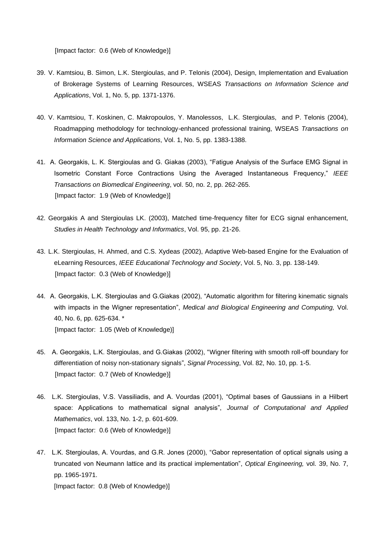[Impact factor: 0.6 (Web of Knowledge)]

- 39. V. Kamtsiou, B. Simon, L.K. Stergioulas, and P. Telonis (2004), Design, Implementation and Evaluation of Brokerage Systems of Learning Resources, WSEAS *Transactions on Information Science and Applications*, Vol. 1, No. 5, pp. 1371-1376.
- 40. V. Kamtsiou, T. Koskinen, C. Makropoulos, Y. Manolessos, L.K. Stergioulas, and P. Telonis (2004), Roadmapping methodology for technology-enhanced professional training, WSEAS *Transactions on Information Science and Applications*, Vol. 1, No. 5, pp. 1383-1388.
- 41. A. Georgakis, L. K. Stergioulas and G. Giakas (2003), "Fatigue Analysis of the Surface EMG Signal in Isometric Constant Force Contractions Using the Averaged Instantaneous Frequency," *IEEE Transactions on Biomedical Engineering*, vol. 50, no. 2, pp. 262-265. [Impact factor: 1.9 (Web of Knowledge)]
- 42. Georgakis A and Stergioulas LK. (2003), Matched time-frequency filter for ECG signal enhancement, *Studies in Health Technology and Informatics*, Vol. 95, pp. 21-26.
- 43. L.K. Stergioulas, H. Ahmed, and C.S. Xydeas (2002), Adaptive Web-based Engine for the Evaluation of eLearning Resources, *IEEE Educational Technology and Society*, Vol. 5, No. 3, pp. 138-149. [Impact factor: 0.3 (Web of Knowledge)]
- 44. A. Georgakis, L.K. Stergioulas and G.Giakas (2002), "Automatic algorithm for filtering kinematic signals with impacts in the Wigner representation", *Medical and Biological Engineering and Computing,* Vol. 40, No. 6, pp. 625-634. \* [Impact factor: 1.05 (Web of Knowledge)]
- 45. A. Georgakis, L.K. Stergioulas, and G.Giakas (2002), "Wigner filtering with smooth roll-off boundary for differentiation of noisy non-stationary signals", *Signal Processing*, Vol. 82, No. 10, pp. 1-5. [Impact factor: 0.7 (Web of Knowledge)]
- 46. L.K. Stergioulas, V.S. Vassiliadis, and A. Vourdas (2001), "Optimal bases of Gaussians in a Hilbert space: Applications to mathematical signal analysis", *Journal of Computational and Applied Mathematics*, vol. 133, No. 1-2, p. 601-609. [Impact factor: 0.6 (Web of Knowledge)]
- 47. L.K. Stergioulas, A. Vourdas, and G.R. Jones (2000), "Gabor representation of optical signals using a truncated von Neumann lattice and its practical implementation", *Optical Engineering,* vol. 39, No. 7, pp. 1965-1971. [Impact factor: 0.8 (Web of Knowledge)]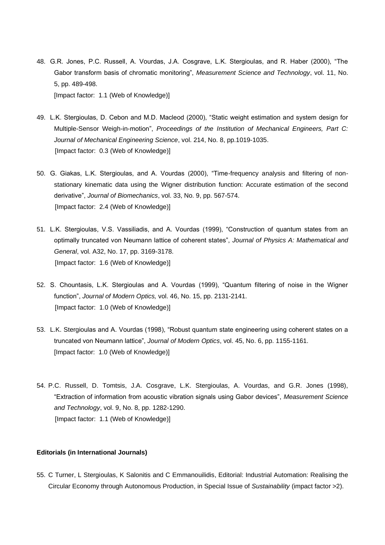- 48. G.R. Jones, P.C. Russell, A. Vourdas, J.A. Cosgrave, L.K. Stergioulas, and R. Haber (2000), "The Gabor transform basis of chromatic monitoring", *Measurement Science and Technology*, vol. 11, No. 5, pp. 489-498. [Impact factor: 1.1 (Web of Knowledge)]
- 49. L.K. Stergioulas, D. Cebon and M.D. Macleod (2000), "Static weight estimation and system design for Multiple-Sensor Weigh-in-motion", *Proceedings of the Institution of Mechanical Engineers, Part C: Journal of Mechanical Engineering Science*, vol. 214, No. 8, pp.1019-1035. [Impact factor: 0.3 (Web of Knowledge)]
- 50. G. Giakas, L.K. Stergioulas, and A. Vourdas (2000), "Time-frequency analysis and filtering of nonstationary kinematic data using the Wigner distribution function: Accurate estimation of the second derivative", *Journal of Biomechanics*, vol. 33, No. 9, pp. 567-574. [Impact factor: 2.4 (Web of Knowledge)]
- 51. L.K. Stergioulas, V.S. Vassiliadis, and A. Vourdas (1999), "Construction of quantum states from an optimally truncated von Neumann lattice of coherent states", *Journal of Physics A: Mathematical and General*, vol. A32, No. 17, pp. 3169-3178. [Impact factor: 1.6 (Web of Knowledge)]
- 52. S. Chountasis, L.K. Stergioulas and A. Vourdas (1999), "Quantum filtering of noise in the Wigner function", *Journal of Modern Optics,* vol. 46, No. 15, pp. 2131-2141. [Impact factor: 1.0 (Web of Knowledge)]
- 53. L.K. Stergioulas and A. Vourdas (1998), "Robust quantum state engineering using coherent states on a truncated von Neumann lattice", *Journal of Modern Optics*, vol. 45, No. 6, pp. 1155-1161. [Impact factor: 1.0 (Web of Knowledge)]
- 54. P.C. Russell, D. Tomtsis, J.A. Cosgrave, L.K. Stergioulas, A. Vourdas, and G.R. Jones (1998), "Extraction of information from acoustic vibration signals using Gabor devices", *Measurement Science and Technology*, vol. 9, No. 8, pp. 1282-1290. [Impact factor: 1.1 (Web of Knowledge)]

### **Editorials (in International Journals)**

55. C Turner, L Stergioulas, K Salonitis and C Emmanouilidis, Editorial: Industrial Automation: Realising the Circular Economy through Autonomous Production, in Special Issue of *Sustainability* (impact factor >2).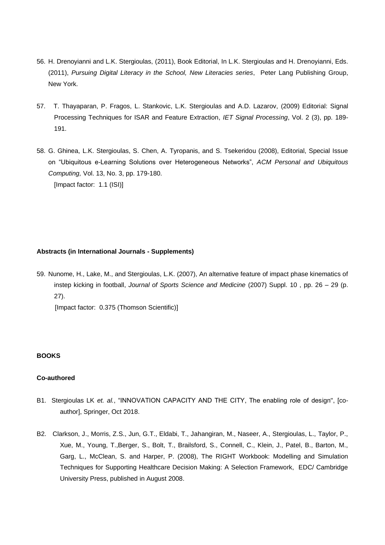- 56. H. Drenoyianni and L.K. Stergioulas, (2011), Book Editorial, In L.K. Stergioulas and H. Drenoyianni, Eds. (2011), *Pursuing Digital Literacy in the School, New Literacies series*, Peter Lang Publishing Group, New York.
- 57. T. Thayaparan, P. Fragos, L. Stankovic, L.K. Stergioulas and A.D. Lazarov, (2009) Editorial: Signal Processing Techniques for ISAR and Feature Extraction, *IET Signal Processing*, Vol. 2 (3), pp. 189- 191.
- 58. G. Ghinea, L.K. Stergioulas, S. Chen, A. Tyropanis, and S. Tsekeridou (2008), Editorial, Special Issue on "Ubiquitous e-Learning Solutions over Heterogeneous Networks", *ACM Personal and Ubiquitous Computing,* Vol. 13, No. 3, pp. 179-180. [Impact factor: 1.1 (ISI)]

### **Abstracts (in International Journals - Supplements)**

59. Nunome, H., Lake, M., and Stergioulas, L.K. (2007), An alternative feature of impact phase kinematics of instep kicking in football, *Journal of Sports Science and Medicine* (2007) Suppl. 10 , pp. 26 – 29 (p. 27).

[Impact factor: 0.375 (Thomson Scientific)]

#### **BOOKS**

### **Co-authored**

- B1. Stergioulas LK *et. al.*, "INNOVATION CAPACITY AND THE CITY, The enabling role of design", [coauthor], Springer, Oct 2018.
- B2. Clarkson, J., Morris, Z.S., Jun, G.T., Eldabi, T., Jahangiran, M., Naseer, A., Stergioulas, L., Taylor, P., Xue, M., Young, T.,Berger, S., Bolt, T., Brailsford, S., Connell, C., Klein, J., Patel, B., Barton, M., Garg, L., McClean, S. and Harper, P. (2008), The RIGHT Workbook: Modelling and Simulation Techniques for Supporting Healthcare Decision Making: A Selection Framework, EDC/ Cambridge University Press, published in August 2008.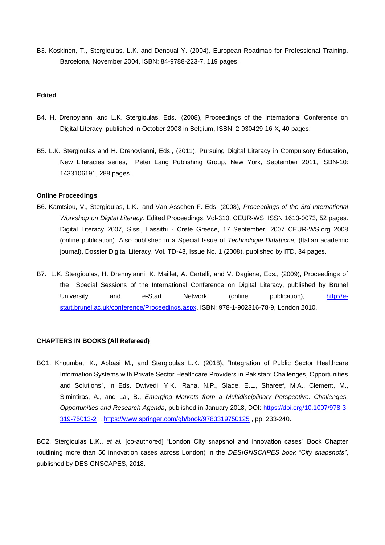B3. Koskinen, T., Stergioulas, L.K. and Denoual Y. (2004), European Roadmap for Professional Training, Barcelona, November 2004, ISBN: 84-9788-223-7, 119 pages.

### **Edited**

- B4. H. Drenoyianni and L.K. Stergioulas, Eds., (2008), Proceedings of the International Conference on Digital Literacy, published in October 2008 in Belgium, ISBN: 2-930429-16-X, 40 pages.
- B5. L.K. Stergioulas and H. Drenoyianni, Eds., (2011), Pursuing Digital Literacy in Compulsory Education, New Literacies series, Peter Lang Publishing Group, New York, September 2011, ISBN-10: 1433106191, 288 pages.

#### **Online Proceedings**

- B6. Kamtsiou, V., Stergioulas, L.K., and Van Asschen F. Eds. (2008), *Proceedings of the 3rd International Workshop on Digital Literacy*, Edited Proceedings, Vol-310, CEUR-WS, ISSN 1613-0073, 52 pages. Digital Literacy 2007, Sissi, Lassithi - Crete Greece, 17 September, 2007 CEUR-WS.org 2008 (online publication). Also published in a Special Issue of *Technologie Didattiche,* (Italian academic journal), Dossier Digital Literacy, Vol. TD-43, Issue No. 1 (2008), published by ITD, 34 pages.
- B7. L.K. Stergioulas, H. Drenoyianni, K. Maillet, A. Cartelli, and V. Dagiene, Eds., (2009), Proceedings of the Special Sessions of the International Conference on Digital Literacy, published by Brunel University and e-Start Network (online publication), [http://e](http://e-start.brunel.ac.uk/conference/Proceedings.aspx)[start.brunel.ac.uk/conference/Proceedings.aspx,](http://e-start.brunel.ac.uk/conference/Proceedings.aspx) ISBN: 978-1-902316-78-9, London 2010.

#### **CHAPTERS IN BOOKS (All Refereed)**

BC1. Khoumbati K., Abbasi M., and Stergioulas L.K. (2018), "Integration of Public Sector Healthcare Information Systems with Private Sector Healthcare Providers in Pakistan: Challenges, Opportunities and Solutions", in Eds. Dwivedi, Y.K., Rana, N.P., Slade, E.L., Shareef, M.A., Clement, M., Simintiras, A., and Lal, B., *Emerging Markets from a Multidisciplinary Perspective: Challenges, Opportunities and Research Agenda*, published in January 2018, DOI: [https://doi.org/10.1007/978-3-](https://doi.org/10.1007/978-3-319-75013-2) [319-75013-2](https://doi.org/10.1007/978-3-319-75013-2) .<https://www.springer.com/gb/book/9783319750125> , pp. 233-240.

BC2. Stergioulas L.K., *et al.* [co-authored] "London City snapshot and innovation cases" Book Chapter (outlining more than 50 innovation cases across London) in the *DESIGNSCAPES book "City snapshots"*, published by DESIGNSCAPES, 2018.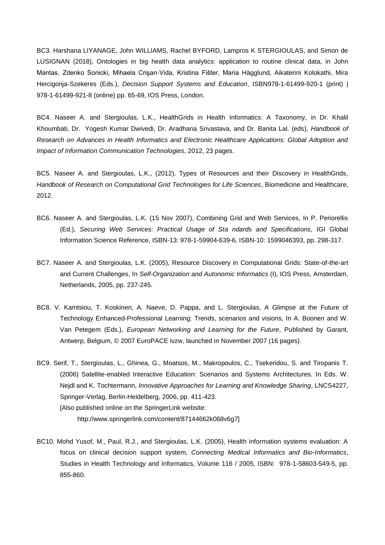BC3. Harshana LIYANAGE, John WILLIAMS, Rachel BYFORD, Lampros K STERGIOULAS, and Simon de LUSIGNAN (2018), Ontologies in big health data analytics: application to routine clinical data, in John Mantas, Zdenko Sonicki, Mihaela Crişan-Vida, Kristina Fišter, Maria Hägglund, Aikaterini Kolokathi, Mira Hercigonja-Szekeres (Eds.), *Decision Support Systems and Education*, ISBN978-1-61499-920-1 (print) | 978-1-61499-921-8 (online) pp. 65-69, IOS Press, London.

BC4. Naseer A. and Stergioulas, L.K., HealthGrids in Health Informatics: A Taxonomy, in Dr. Khalil Khoumbati, Dr. Yogesh Kumar Dwivedi, Dr. Aradhana Srivastava, and Dr. Banita Lal. (eds), *Handbook of Research on Advances in Health Informatics and Electronic Healthcare Applications: Global Adoption and Impact of Information Communication Technologies*, 2012, 23 pages.

BC5. Naseer A. and Stergioulas, L.K., (2012), Types of Resources and their Discovery in HealthGrids, *Handbook of Research on Computational Grid Technologies for Life Sciences*, Biomedicine and Healthcare, 2012.

- BC6. Naseer A. and Stergioulas, L.K. (15 Nov 2007), Combining Grid and Web Services, In P. Periorellis (Ed.), *Securing Web Services: Practical Usage of Sta ndards and Specifications,* IGI Global Information Science Reference, ISBN-13: 978-1-59904-639-6, ISBN-10: 1599046393, pp. 298-317.
- BC7. Naseer A. and Stergioulas, L.K. (2005), Resource Discovery in Computational Grids: State-of-the-art and Current Challenges, In *Self-Organization and Autonomic Informatics* (I), IOS Press, Amsterdam, Netherlands, 2005, pp. 237-245.
- BC8. V. Kamtsiou, T. Koskinen, A. Naeve, D. Pappa, and L. Stergioulas, A Glimpse at the Future of Technology Enhanced-Professional Learning: Trends, scenarios and visions, In A. Boonen and W. Van Petegem (Eds.), *European Networking and Learning for the Future*, Published by Garant, Antwerp, Belgium, © 2007 EuroPACE ivzw, launched in November 2007 (16 pages).
- BC9. Serif, T., Stergioulas, L., Ghinea, G., Moatsos, M., Makropoulos, C., Tsekeridou, S. and Tiropanis T. (2006) Satellite-enabled Interactive Education: Scenarios and Systems Architectures. In Eds. W. Nejdl and K. Tochtermann, *Innovative Approaches for Learning and Knowledge Sharing*, LNCS4227, Springer-Verlag, Berlin-Heidelberg, 2006, pp. 411-423. [Also published online on the SpringerLink website:

http://www.springerlink.com/content/87144662k068v6g7]

BC10. Mohd Yusof, M., Paul, R.J., and Stergioulas, L.K. (2005), Health information systems evaluation: A focus on clinical decision support system, *Connecting Medical Informatics and Bio-Informatics*, Studies in Health Technology and Informatics, Volume 116 / 2005, ISBN: 978-1-58603-549-5, pp. 855-860.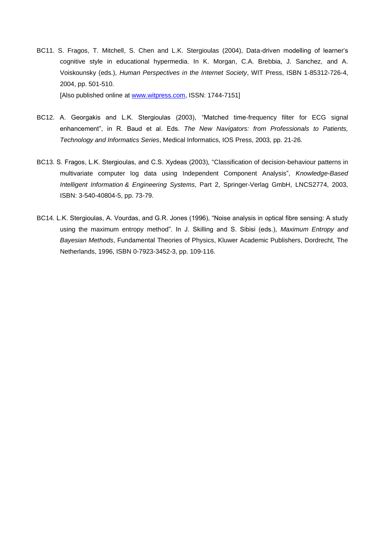- BC11. S. Fragos, T. Mitchell, S. Chen and L.K. Stergioulas (2004), Data-driven modelling of learner's cognitive style in educational hypermedia. In K. Morgan, C.A. Brebbia, J. Sanchez, and A. Voiskounsky (eds.), *Human Perspectives in the Internet Society*, WIT Press, ISBN 1-85312-726-4, 2004, pp. 501-510. [Also published online at [www.witpress.com,](http://www.witpress.com/) ISSN: 1744-7151]
- BC12. A. Georgakis and L.K. Stergioulas (2003), "Matched time-frequency filter for ECG signal enhancement", in R. Baud et al. Eds. *The New Navigators: from Professionals to Patients, Technology and Informatics Series*, Medical Informatics, IOS Press, 2003, pp. 21-26.
- BC13. S. Fragos, L.K. Stergioulas, and C.S. Xydeas (2003), "Classification of decision-behaviour patterns in multivariate computer log data using Independent Component Analysis", *Knowledge-Based Intelligent Information & Engineering Systems*, Part 2, Springer-Verlag GmbH, LNCS2774, 2003, ISBN: 3-540-40804-5, pp. 73-79.
- BC14. L.K. Stergioulas, A. Vourdas, and G.R. Jones (1996), "Noise analysis in optical fibre sensing: A study using the maximum entropy method". In J. Skilling and S. Sibisi (eds.), *Maximum Entropy and Bayesian Methods*, Fundamental Theories of Physics, Kluwer Academic Publishers, Dordrecht, The Netherlands, 1996, ISBN 0-7923-3452-3, pp. 109-116.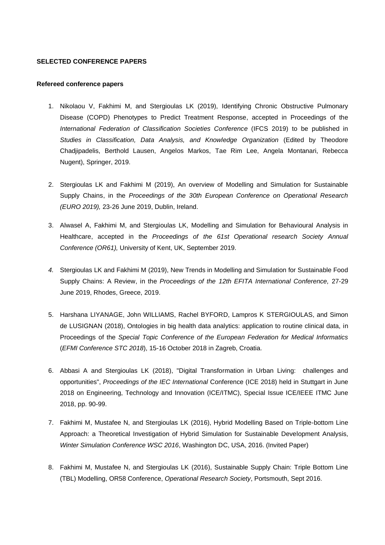#### **SELECTED CONFERENCE PAPERS**

#### **Refereed conference papers**

- 1. Nikolaou V, Fakhimi M, and Stergioulas LK (2019), Identifying Chronic Obstructive Pulmonary Disease (COPD) Phenotypes to Predict Treatment Response, accepted in Proceedings of the *International Federation of Classification Societies Conference* (IFCS 2019) to be published in *Studies in Classification, Data Analysis, and Knowledge Organization* (Edited by Theodore Chadjipadelis, Berthold Lausen, Angelos Markos, Tae Rim Lee, Angela Montanari, Rebecca Nugent), Springer, 2019.
- 2. Stergioulas LK and Fakhimi M (2019), An overview of Modelling and Simulation for Sustainable Supply Chains, in the *Proceedings of the 30th European Conference on Operational Research (EURO 2019),* 23-26 June 2019, Dublin, Ireland.
- 3. Alwasel A, Fakhimi M, and Stergioulas LK, Modelling and Simulation for Behavioural Analysis in Healthcare, accepted in the *Proceedings of the 61st Operational research Society Annual Conference (OR61),* University of Kent, UK, September 2019.
- *4.* Stergioulas LK and Fakhimi M (2019), New Trends in Modelling and Simulation for Sustainable Food Supply Chains: A Review, in the *Proceedings of the 12th EFITA International Conference,* 27-29 June 2019, Rhodes, Greece, 2019.
- 5. Harshana LIYANAGE, John WILLIAMS, Rachel BYFORD, Lampros K STERGIOULAS, and Simon de LUSIGNAN (2018), Ontologies in big health data analytics: application to routine clinical data, in Proceedings of the *Special Topic Conference of the European Federation for Medical Informatics* (*EFMI Conference STC 2018*), 15-16 October 2018 in Zagreb, Croatia.
- 6. Abbasi A and Stergioulas LK (2018), "Digital Transformation in Urban Living: challenges and opportunities", *Proceedings of the IEC International* Conference (ICE 2018) held in Stuttgart in June 2018 on Engineering, Technology and Innovation (ICE/ITMC), Special Issue ICE/IEEE ITMC June 2018, pp. 90-99.
- 7. Fakhimi M, Mustafee N, and Stergioulas LK (2016), Hybrid Modelling Based on Triple-bottom Line Approach: a Theoretical Investigation of Hybrid Simulation for Sustainable Development Analysis, *Winter Simulation Conference WSC 2016*, Washington DC, USA, 2016. (Invited Paper)
- 8. Fakhimi M, Mustafee N, and Stergioulas LK (2016), Sustainable Supply Chain: Triple Bottom Line (TBL) Modelling, OR58 Conference, *Operational Research Society*, Portsmouth, Sept 2016.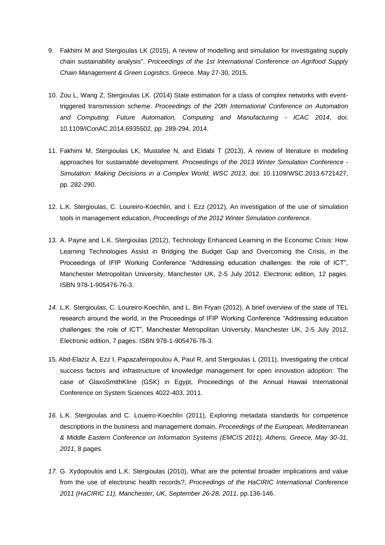- 9. Fakhimi M and Stergioulas LK (2015), A review of modelling and simulation for investigating supply chain sustainability analysis". *Proceedings of the 1st International Conference on Agrifood Supply Chain Management & Green Logistics*. Greece. May 27-30, 2015.
- 10. Zou L, Wang Z, Stergioulas LK. (2014) State estimation for a class of complex networks with eventtriggered transmission scheme. *Proceedings of the 20th International Conference on Automation and Computing: Future Automation, Computing and Manufacturing - ICAC 2014*, doi: 10.1109/IConAC.2014.6935502, pp. 289-294, 2014.
- 11. Fakhimi M, Stergioulas LK, Mustafee N, and Eldabi T (2013), A review of literature in modeling approaches for sustainable development. *Proceedings of the 2013 Winter Simulation Conference - Simulation: Making Decisions in a Complex World, WSC 2013*, doi: 10.1109/WSC.2013.6721427, pp. 282-290.
- 12. L.K. Stergioulas, C. Loureiro-Koechlin, and I. Ezz (2012), An investigation of the use of simulation tools in management education, *Proceedings of the 2012 Winter Simulation conference*.
- 13. A. Payne and L.K. Stergioulas (2012), Technology Enhanced Learning in the Economic Crisis: How Learning Technologies Assist in Bridging the Budget Gap and Overcoming the Crisis, in the Proceedings of IFIP Working Conference "Addressing education challenges: the role of ICT", Manchester Metropolitan University, Manchester UK, 2-5 July 2012. Electronic edition, 12 pages. ISBN 978-1-905476-76-3.
- *14.* L.K. Stergioulas, C. Loureiro-Koechlin, and L. Bin Fryan (2012), A brief overview of the state of TEL research around the world, in the Proceedings of IFIP Working Conference "Addressing education challenges: the role of ICT", Manchester Metropolitan University, Manchester UK, 2-5 July 2012. Electronic edition, 7 pages. ISBN 978-1-905476-76-3.
- 15. Abd-Elaziz A, Ezz I, Papazafeiropoulou A, Paul R, and Stergioulas L (2011), Investigating the critical success factors and infrastructure of knowledge management for open innovation adoption: The case of GlaxoSmithKline (GSK) in Egypt, Proceedings of the Annual Hawaii International Conference on System Sciences 4022-403, 2011.
- *16.* L.K. Stergioulas and C. Loueiro-Koechlin (2011), Exploring metadata standards for competence descriptions in the business and management domain, *Proceedings of the European, Mediterranean & Middle Eastern Conference on Information Systems (EMCIS 2011), Athens, Greece, May 30-31, 2011,* 8 pages.
- *17.* G. Xydopoulos and L.K. Stergioulas (2010), What are the potential broader implications and value from the use of electronic health records?, *Proceedings of the HaCIRIC International Conference 2011 (HaCIRIC 11), Manchester, UK, September 26-28, 2011,* pp.136-146.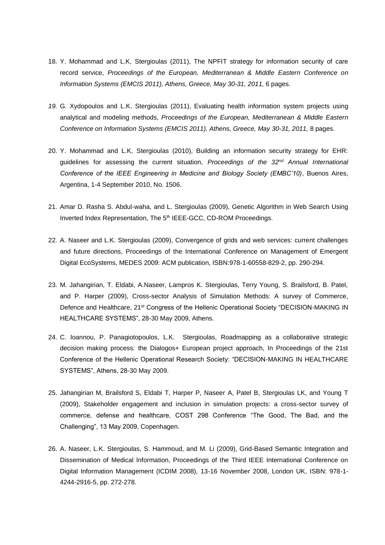- 18. Y. Mohammad and L.K. Stergioulas (2011), The NPFIT strategy for information security of care record service, *Proceedings of the European, Mediterranean & Middle Eastern Conference on Information Systems (EMCIS 2011), Athens, Greece, May 30-31, 2011,* 6 pages.
- *19.* G. Xydopoulos and L.K. Stergioulas (2011), Evaluating health information system projects using analytical and modeling methods, *Proceedings of the European, Mediterranean & Middle Eastern Conference on Information Systems (EMCIS 2011), Athens, Greece, May 30-31, 2011,* 8 pages.
- 20. Y. Mohammad and L.K, Stergioulas (2010), Building an information security strategy for EHR: guidelines for assessing the current situation, *Proceedings of the 32nd Annual International Conference of the IEEE Engineering in Medicine and Biology Society (EMBC'10)*, Buenos Aires, Argentina, 1-4 September 2010, No. 1506.
- 21. Amar D. Rasha S. Abdul-waha, and L. Stergioulas (2009), Genetic Algorithm in Web Search Using Inverted Index Representation, The 5<sup>th</sup> IEEE-GCC, CD-ROM Proceedings.
- 22. A. Naseer and L.K. Stergioulas (2009), Convergence of grids and web services: current challenges and future directions, Proceedings of the International Conference on Management of Emergent Digital EcoSystems, MEDES 2009: ACM publication, ISBN:978-1-60558-829-2, pp. 290-294.
- 23. M. Jahangirian, T. Eldabi, A.Naseer, Lampros K. Stergioulas, Terry Young, S. Brailsford, B. Patel, and P. Harper (2009), Cross-sector Analysis of Simulation Methods: A survey of Commerce, Defence and Healthcare, 21<sup>st</sup> Congress of the Hellenic Operational Society "DECISION-MAKING IN HEALTHCARE SYSTEMS", 28-30 May 2009, Athens.
- 24. C. Ioannou, P. Panagiotopoulos, L.K. Stergioulas, Roadmapping as a collaborative strategic decision making process: the Dialogos+ European project approach, In Proceedings of the 21st Conference of the Hellenic Operational Research Society: "DECISION-MAKING IN HEALTHCARE SYSTEMS", Athens, 28-30 May 2009.
- 25. Jahangirian M, Brailsford S, Eldabi T, Harper P, Naseer A, Patel B, Stergioulas LK, and Young T (2009), Stakeholder engagement and inclusion in simulation projects: a cross-sector survey of commerce, defense and healthcare, COST 298 Conference "The Good, The Bad, and the Challenging", 13 May 2009, Copenhagen.
- 26. A. Naseer, L.K. Stergioulas, S. Hammoud, and M. Li (2009), Grid-Based Semantic Integration and Dissemination of Medical Information, Proceedings of the Third IEEE International Conference on Digital Information Management (ICDIM 2008), 13-16 November 2008, London UK, ISBN: 978-1- 4244-2916-5, pp. 272-278.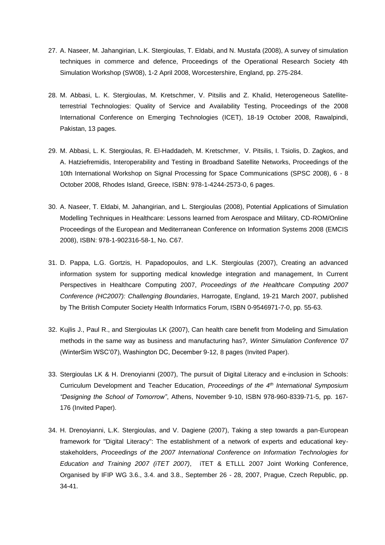- 27. A. Naseer, M. Jahangirian, L.K. Stergioulas, T. Eldabi, and N. Mustafa (2008), A survey of simulation techniques in commerce and defence, Proceedings of the Operational Research Society 4th Simulation Workshop (SW08), 1-2 April 2008, Worcestershire, England, pp. 275-284.
- 28. M. Abbasi, L. K. Stergioulas, M. Kretschmer, V. Pitsilis and Z. Khalid, Heterogeneous Satelliteterrestrial Technologies: Quality of Service and Availability Testing, Proceedings of the 2008 International Conference on Emerging Technologies (ICET), 18-19 October 2008, Rawalpindi, Pakistan, 13 pages.
- 29. M. Abbasi, L. K. Stergioulas, R. El-Haddadeh, M. Kretschmer, V. Pitsilis, I. Tsiolis, D. Zagkos, and A. Hatziefremidis, Interoperability and Testing in Broadband Satellite Networks, Proceedings of the 10th International Workshop on Signal Processing for Space Communications (SPSC 2008), 6 - 8 October 2008, Rhodes Island, Greece, ISBN: 978-1-4244-2573-0, 6 pages.
- 30. A. Naseer, T. Eldabi, M. Jahangirian, and L. Stergioulas (2008), Potential Applications of Simulation Modelling Techniques in Healthcare: Lessons learned from Aerospace and Military, CD-ROM/Online Proceedings of the European and Mediterranean Conference on Information Systems 2008 (EMCIS 2008), ISBN: 978-1-902316-58-1, No. C67.
- 31. D. Pappa, L.G. Gortzis, H. Papadopoulos, and L.K. Stergioulas (2007), Creating an advanced information system for supporting medical knowledge integration and management, In Current Perspectives in Healthcare Computing 2007, *Proceedings of the Healthcare Computing 2007 Conference (HC2007): Challenging Boundaries*, Harrogate, England, 19-21 March 2007, published by The British Computer Society Health Informatics Forum, ISBN 0-9546971-7-0, pp. 55-63.
- 32. Kujlis J., Paul R., and Stergioulas LK (2007), Can health care benefit from Modeling and Simulation methods in the same way as business and manufacturing has?, *Winter Simulation Conference '07* (WinterSim WSC'07), Washington DC, December 9-12, 8 pages (Invited Paper).
- 33. Stergioulas LK & H. Drenoyianni (2007), The pursuit of Digital Literacy and e-inclusion in Schools: Curriculum Development and Teacher Education, *Proceedings of the 4th International Symposium "Designing the School of Tomorrow"*, Athens, November 9-10, ISBN 978-960-8339-71-5, pp. 167- 176 (Invited Paper).
- 34. H. Drenoyianni, L.K. Stergioulas, and V. Dagiene (2007), Taking a step towards a pan-European framework for "Digital Literacy": The establishment of a network of experts and educational keystakeholders, *Proceedings of the 2007 International Conference on Information Technologies for Education and Training 2007 (iTET 2007)*, iTET & ETLLL 2007 Joint Working Conference, Organised by IFIP WG 3.6., 3.4. and 3.8., September 26 - 28, 2007, Prague, Czech Republic, pp. 34-41.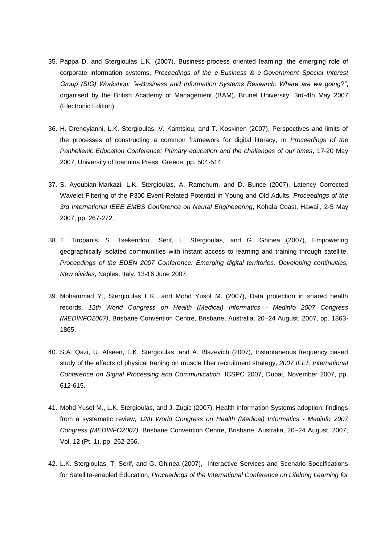- 35. Pappa D. and Stergioulas L.K. (2007), Business-process oriented learning: the emerging role of corporate information systems, *Proceedings of the e-Business & e-Government Special Interest Group (SIG) Workshop: "e-Business and Information Systems Research: Where are we going?"*, organised by the British Academy of Management (BAM), Brunel University, 3rd-4th May 2007 (Electronic Edition).
- 36. H. Drenoyianni, L.K. Stergioulas, V. Kamtsiou, and T. Koskinen (2007), Perspectives and limits of the processes of constructing a common framework for digital literacy, In *Proceedings of the Panhellenic Education Conference: Primary education and the challenges of our times*, 17-20 May 2007, University of Ioannina Press, Greece, pp. 504-514.
- 37. S. Ayoubian-Markazi, L.K. Stergioulas, A. Ramchurn, and D. Bunce (2007), Latency Corrected Wavelet Filtering of the P300 Event-Related Potential in Young and Old Adults, *Proceedings of the 3rd International IEEE EMBS Conference on Neural Engineeering*, Kohala Coast, Hawaii, 2-5 May 2007, pp. 267-272.
- 38. T. Tiropanis, S. Tsekeridou,. Serif, L. Stergioulas, and G. Ghinea (2007), Empowering geographically isolated communities with instant access to learning and training through satellite, *Proceedings of the EDEN 2007 Conference: Emerging digital territories, Developing continuities, New divides*, Naples, Italy, 13-16 June 2007.
- 39. Mohammad Y., Stergioulas L.K., and Mohd Yusof M. (2007), Data protection in shared health records, *12th World Congress on Health (Medical) Informatics - Medinfo 2007 Congress (MEDINFO2007)*, Brisbane Convention Centre, Brisbane, Australia, 20–24 August, 2007, pp. 1863- 1865.
- 40. S.A. Qazi, U. Afseen, L.K. Stergioulas, and A. Blazevich (2007), Instantaneous frequency based study of the effects of physical traning on muscle fiber recruitment strategy, *2007 IEEE International Conference on Signal Processing and Communication*, ICSPC 2007, Dubai, November 2007, pp. 612-615.
- 41. Mohd Yusof M., L.K. Stergioulas, and J. Zugic (2007), Health Information Systems adoption: findings from a systematic review, *12th World Congress on Health (Medical) Informatics - Medinfo 2007 Congress (MEDINFO2007)*, Brisbane Convention Centre, Brisbane, Australia, 20–24 August, 2007, Vol. 12 (Pt. 1), pp. 262-266.
- 42. L.K. Stergioulas, T. Serif, and G. Ghinea (2007), Interactive Services and Scenario Specifications for Satellite-enabled Education, *Proceedings of the International Conference on Lifelong Learning for*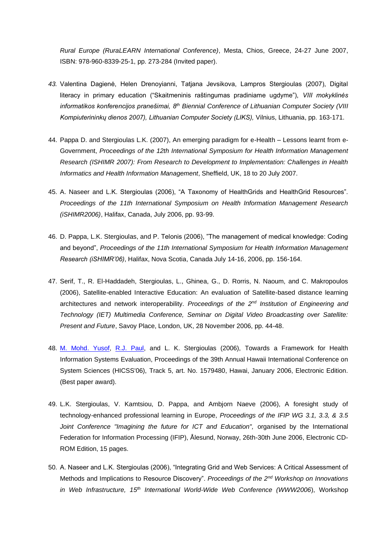*Rural Europe (RuraLEARN International Conference)*, Mesta, Chios, Greece, 24-27 June 2007, ISBN: 978-960-8339-25-1, pp. 273-284 (Invited paper).

- *43.* Valentina Dagienė, Helen Drenoyianni, Tatjana Jevsikova, Lampros Stergioulas (2007), Digital literacy in primary education ("Skaitmeninis raštingumas pradiniame ugdyme"), *VIII mokyklinės informatikos konferencijos pranešimai, 8th Biennial Conference of Lithuanian Computer Society (VIII Kompiuterininkų dienos 2007), Lithuanian Computer Society (LIKS),* Vilnius, Lithuania, pp. 163-171.
- 44. Pappa D. and Stergioulas L.K. (2007), An emerging paradigm for e-Health Lessons learnt from e-Government, *Proceedings of the 12th International Symposium for Health Information Management Research (ISHIMR 2007): From Research to Development to Implementation: Challenges in Health Informatics and Health Information Management*, Sheffield, UK, 18 to 20 July 2007.
- 45. A. Naseer and L.K. Stergioulas (2006), "A Taxonomy of HealthGrids and HealthGrid Resources". *Proceedings of the 11th International Symposium on Health Information Management Research (iSHIMR2006)*, Halifax, Canada, July 2006, pp. 93-99.
- 46. D. Pappa, L.K. Stergioulas, and P. Telonis (2006), "The management of medical knowledge: Coding and beyond", *Proceedings of the 11th International Symposium for Health Information Management Research (iSHIMR'06)*, Halifax, Nova Scotia, Canada July 14-16, 2006, pp. 156-164.
- 47. Serif, T., R. El-Haddadeh, Stergioulas, L., Ghinea, G., D. Rorris, N. Naoum, and C. Makropoulos (2006), Satellite-enabled Interactive Education: An evaluation of Satellite-based distance learning architectures and network interoperability. *Proceedings of the 2nd Institution of Engineering and Technology (IET) Multimedia Conference, Seminar on Digital Video Broadcasting over Satellite: Present and Future*, Savoy Place, London, UK, 28 November 2006, pp. 44-48.
- 48. [M. Mohd. Yusof,](http://www.informatik.uni-trier.de/~ley/db/indices/a-tree/y/Yusof:Maryati_Mohd=.html) [R.J. Paul,](http://www.informatik.uni-trier.de/~ley/db/indices/a-tree/p/Paul:Ray_J=.html) and L. K. Stergioulas (2006), Towards a Framework for Health Information Systems Evaluation, Proceedings of the 39th Annual Hawaii International Conference on System Sciences (HICSS'06), Track 5, art. No. 1579480, Hawai, January 2006, Electronic Edition. (Best paper award).
- 49. L.K. Stergioulas, V. Kamtsiou, D. Pappa, and Ambjorn Naeve (2006), A foresight study of technology-enhanced professional learning in Europe, *Proceedings of the IFIP WG 3.1, 3.3, & 3.5 Joint Conference "Imagining the future for ICT and Education",* organised by the International Federation for Information Processing (IFIP), Ålesund, Norway, 26th-30th June 2006, Electronic CD-ROM Edition, 15 pages.
- 50. A. Naseer and L.K. Stergioulas (2006), "Integrating Grid and Web Services: A Critical Assessment of Methods and Implications to Resource Discovery". *Proceedings of the 2nd Workshop on Innovations in Web Infrastructure, 15th International World-Wide Web Conference (WWW2006*), Workshop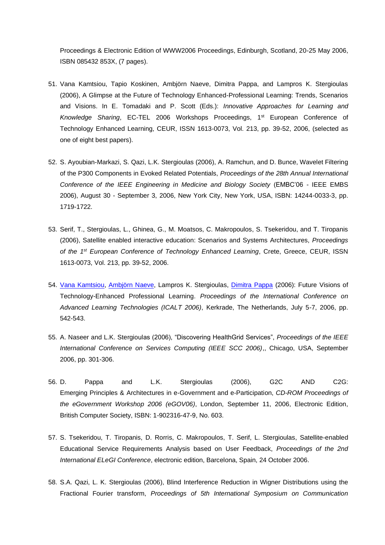Proceedings & Electronic Edition of WWW2006 Proceedings, Edinburgh, Scotland, 20-25 May 2006, ISBN 085432 853X, (7 pages).

- 51. Vana Kamtsiou, Tapio Koskinen, Ambjörn Naeve, Dimitra Pappa, and Lampros K. Stergioulas (2006), A Glimpse at the Future of Technology Enhanced-Professional Learning: Trends, Scenarios and Visions. In E. Tomadaki and P. Scott (Eds.): *Innovative Approaches for Learning and Knowledge Sharing*, EC-TEL 2006 Workshops Proceedings, 1st European Conference of Technology Enhanced Learning, CEUR, ISSN 1613-0073, Vol. 213, pp. 39-52, 2006, (selected as one of eight best papers).
- 52. S. Ayoubian-Markazi, S. Qazi, L.K. Stergioulas (2006), A. Ramchun, and D. Bunce, Wavelet Filtering of the P300 Components in Evoked Related Potentials, *Proceedings of the 28th Annual International Conference of the IEEE Engineering in Medicine and Biology Society* (EMBC'06 - IEEE EMBS 2006), August 30 - September 3, 2006, New York City, New York, USA, ISBN: 14244-0033-3, pp. 1719-1722.
- 53. Serif, T., Stergioulas, L., Ghinea, G., M. Moatsos, C. Makropoulos, S. Tsekeridou, and T. Tiropanis (2006), Satellite enabled interactive education: Scenarios and Systems Architectures, *Proceedings of the 1st European Conference of Technology Enhanced Learning*, Crete, Greece, CEUR, ISSN 1613-0073, Vol. 213, pp. 39-52, 2006.
- 54. [Vana Kamtsiou,](http://www.informatik.uni-trier.de/~ley/db/indices/a-tree/k/Kamtsiou:Vana.html) [Ambjörn Naeve,](http://www.informatik.uni-trier.de/~ley/db/indices/a-tree/n/Naeve:Ambj=ouml=rn.html) Lampros K. Stergioulas, [Dimitra Pappa](http://www.informatik.uni-trier.de/~ley/db/indices/a-tree/p/Pappa:Dimitra.html) (2006): Future Visions of Technology-Enhanced Professional Learning. *Proceedings of the International Conference on Advanced Learning Technologies (ICALT 2006)*, Kerkrade, The Netherlands, July 5-7, 2006, pp. 542-543.
- 55. A. Naseer and L.K. Stergioulas (2006), "Discovering HealthGrid Services", *Proceedings of the IEEE International Conference on Services Computing (IEEE SCC 2006)*,, Chicago, USA, September 2006, pp. 301-306.
- 56. D. Pappa and L.K. Stergioulas (2006), G2C AND C2G: Emerging Principles & Architectures in e-Government and e-Participation, *CD-ROM Proceedings of the eGovernment Workshop 2006 (eGOV06)*, London, September 11, 2006, Electronic Edition, British Computer Society, ISBN: 1-902316-47-9, No. 603.
- 57. S. Tsekeridou, T. Tiropanis, D. Rorris, C. Makropoulos, T. Serif, L. Stergioulas, Satellite-enabled Educational Service Requirements Analysis based on User Feedback, *Proceedings of the 2nd International ELeGI Conference*, electronic edition, Barcelona, Spain, 24 October 2006.
- 58. S.A. Qazi, L. K. Stergioulas (2006), Blind Interference Reduction in Wigner Distributions using the Fractional Fourier transform, *Proceedings of 5th International Symposium on Communication*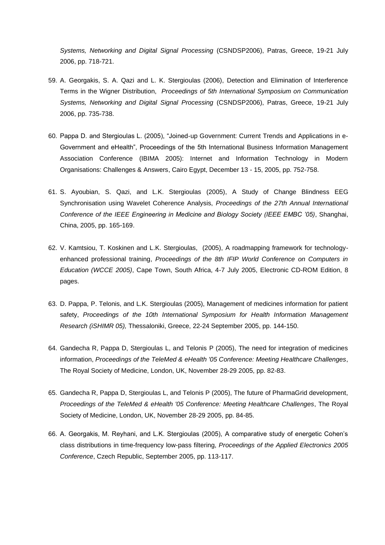*Systems, Networking and Digital Signal Processing* (CSNDSP2006), Patras, Greece, 19-21 July 2006, pp. 718-721.

- 59. A. Georgakis, S. A. Qazi and L. K. Stergioulas (2006), Detection and Elimination of Interference Terms in the Wigner Distribution, *Proceedings of 5th International Symposium on Communication Systems, Networking and Digital Signal Processing* (CSNDSP2006), Patras, Greece, 19-21 July 2006, pp. 735-738.
- 60. Pappa D. and Stergioulas L. (2005), "Joined-up Government: Current Trends and Applications in e-Government and eHealth", Proceedings of the 5th International Business Information Management Association Conference (IBIMA 2005): Internet and Information Technology in Modern Organisations: Challenges & Answers, Cairo Egypt, December 13 - 15, 2005, pp. 752-758.
- 61. S. Ayoubian, S. Qazi, and L.K. Stergioulas (2005), A Study of Change Blindness EEG Synchronisation using Wavelet Coherence Analysis, *Proceedings of the 27th Annual International Conference of the IEEE Engineering in Medicine and Biology Society (IEEE EMBC '05)*, Shanghai, China, 2005, pp. 165-169.
- 62. V. Kamtsiou, T. Koskinen and L.K. Stergioulas, (2005), A roadmapping framework for technologyenhanced professional training, *Proceedings of the 8th IFIP World Conference on Computers in Education (WCCE 2005)*, Cape Town, South Africa, 4-7 July 2005, Electronic CD-ROM Edition, 8 pages.
- 63. D. Pappa, P. Telonis, and L.K. Stergioulas (2005), Management of medicines information for patient safety, *Proceedings of the 10th International Symposium for Health Information Management Research (iSHIMR 05),* Thessaloniki, Greece, 22-24 September 2005, pp. 144-150.
- 64. Gandecha R, Pappa D, Stergioulas L, and Telonis P (2005), The need for integration of medicines information, *Proceedings of the TeleMed & eHealth '05 Conference: Meeting Healthcare Challenges*, The Royal Society of Medicine, London, UK, November 28-29 2005, pp. 82-83.
- 65. Gandecha R, Pappa D, Stergioulas L, and Telonis P (2005), The future of PharmaGrid development, *Proceedings of the TeleMed & eHealth '05 Conference: Meeting Healthcare Challenges*, The Royal Society of Medicine, London, UK, November 28-29 2005, pp. 84-85.
- 66. A. Georgakis, M. Reyhani, and L.K. Stergioulas (2005), A comparative study of energetic Cohen's class distributions in time-frequency low-pass filtering, *Proceedings of the Applied Electronics 2005 Conference*, Czech Republic, September 2005, pp. 113-117.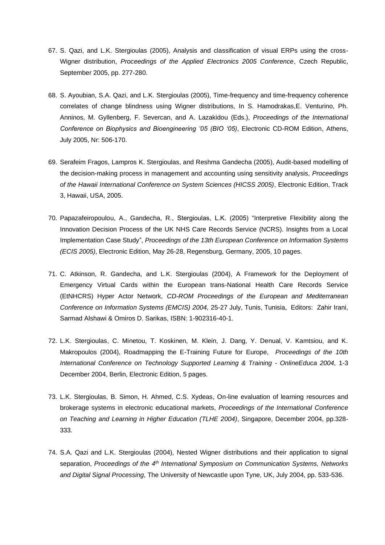- 67. S. Qazi, and L.K. Stergioulas (2005), Analysis and classification of visual ERPs using the cross-Wigner distribution, *Proceedings of the Applied Electronics 2005 Conference*, Czech Republic, September 2005, pp. 277-280.
- 68. S. Ayoubian, S.A. Qazi, and L.K. Stergioulas (2005), Time-frequency and time-frequency coherence correlates of change blindness using Wigner distributions, In S. Hamodrakas,E. Venturino, Ph. Anninos, M. Gyllenberg, F. Severcan, and A. Lazakidou (Eds.), *Proceedings of the International Conference on Biophysics and Bioengineering '05 (BIO '05)*, Electronic CD-ROM Edition, Athens, July 2005, Nr: 506-170.
- 69. Serafeim Fragos, Lampros K. Stergioulas, and Reshma Gandecha (2005), Audit-based modelling of the decision-making process in management and accounting using sensitivity analysis, *Proceedings of the Hawaii International Conference on System Sciences (HICSS 2005)*, Electronic Edition, Track 3, Hawaii, USA, 2005.
- 70. Papazafeiropoulou, A., Gandecha, R., Stergioulas, L.K. (2005) "Interpretive Flexibility along the Innovation Decision Process of the UK NHS Care Records Service (NCRS). Insights from a Local Implementation Case Study", *Proceedings of the 13th European Conference on Information Systems (ECIS 2005)*, Electronic Edition, May 26-28, Regensburg, Germany, 2005, 10 pages.
- 71. C. Atkinson, R. Gandecha, and L.K. Stergioulas (2004), A Framework for the Deployment of Emergency Virtual Cards within the European trans-National Health Care Records Service (EtNHCRS) Hyper Actor Network, *CD-ROM Proceedings of the European and Mediterranean Conference on Information Systems (EMCIS) 2004,* 25-27 July, Tunis, Tunisia, Editors: Zahir Irani, Sarmad Alshawi & Omiros D. Sarikas, ISBN: 1-902316-40-1.
- 72. L.K. Stergioulas, C. Minetou, T. Koskinen, M. Klein, J. Dang, Y. Denual, V. Kamtsiou, and K. Makropoulos (2004), Roadmapping the E-Training Future for Europe, *Proceedings of the 10th International Conference on Technology Supported Learning & Training - OnlineEduca 2004,* 1-3 December 2004, Berlin, Electronic Edition, 5 pages.
- 73. L.K. Stergioulas, B. Simon, H. Ahmed, C.S. Xydeas, On-line evaluation of learning resources and brokerage systems in electronic educational markets, *Proceedings of the International Conference on Teaching and Learning in Higher Education (TLHE 2004)*, Singapore, December 2004, pp.328- 333.
- 74. S.A. Qazi and L.K. Stergioulas (2004), Nested Wigner distributions and their application to signal separation, *Proceedings of the 4th International Symposium on Communication Systems, Networks and Digital Signal Processing*, The University of Newcastle upon Tyne, UK, July 2004, pp. 533-536.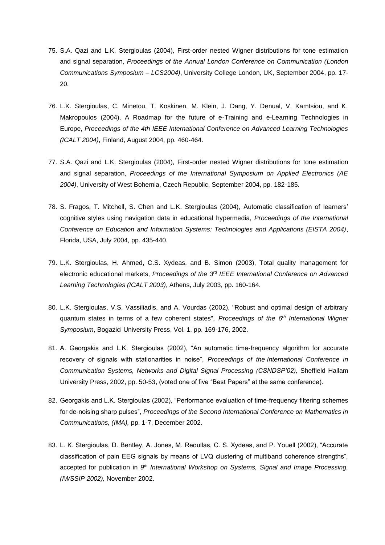- 75. S.A. Qazi and L.K. Stergioulas (2004), First-order nested Wigner distributions for tone estimation and signal separation, *Proceedings of the Annual London Conference on Communication (London Communications Symposium – LCS2004)*, University College London, UK, September 2004, pp. 17- 20.
- 76. L.K. Stergioulas, C. Minetou, T. Koskinen, M. Klein, J. Dang, Y. Denual, V. Kamtsiou, and K. Makropoulos (2004), A Roadmap for the future of e-Training and e-Learning Technologies in Europe, *Proceedings of the 4th IEEE International Conference on Advanced Learning Technologies (ICALT 2004)*, Finland, August 2004, pp. 460-464.
- 77. S.A. Qazi and L.K. Stergioulas (2004), First-order nested Wigner distributions for tone estimation and signal separation, *Proceedings of the International Symposium on Applied Electronics (AE 2004)*, University of West Bohemia, Czech Republic, September 2004, pp. 182-185.
- 78. S. Fragos, T. Mitchell, S. Chen and L.K. Stergioulas (2004), Automatic classification of learners' cognitive styles using navigation data in educational hypermedia, *Proceedings of the International Conference on Education and Information Systems: Technologies and Applications (EISTA 2004)*, Florida, USA, July 2004, pp. 435-440.
- 79. L.K. Stergioulas, H. Ahmed, C.S. Xydeas, and B. Simon (2003), Total quality management for electronic educational markets, *Proceedings of the 3rd IEEE International Conference on Advanced Learning Technologies (ICALT 2003)*, Athens, July 2003, pp. 160-164.
- 80. L.K. Stergioulas, V.S. Vassiliadis, and A. Vourdas (2002), "Robust and optimal design of arbitrary quantum states in terms of a few coherent states", *Proceedings of the 6th International Wigner Symposium*, Bogazici University Press, Vol. 1, pp. 169-176, 2002.
- 81. A. Georgakis and L.K. Stergioulas (2002), "An automatic time-frequency algorithm for accurate recovery of signals with stationarities in noise", *Proceedings of the International Conference in Communication Systems, Networks and Digital Signal Processing (CSNDSP'02),* Sheffield Hallam University Press, 2002, pp. 50-53, (voted one of five "Best Papers" at the same conference).
- 82. Georgakis and L.K. Stergioulas (2002), "Performance evaluation of time-frequency filtering schemes for de-noising sharp pulses", *Proceedings of the Second International Conference on Mathematics in Communications, (IMA),* pp. 1-7, December 2002.
- 83. L. K. Stergioulas, D. Bentley, A. Jones, M. Reoullas, C. S. Xydeas, and P. Youell (2002), "Accurate classification of pain EEG signals by means of LVQ clustering of multiband coherence strengths", accepted for publication in *9 th International Workshop on Systems, Signal and Image Processing, (IWSSIP 2002),* November 2002.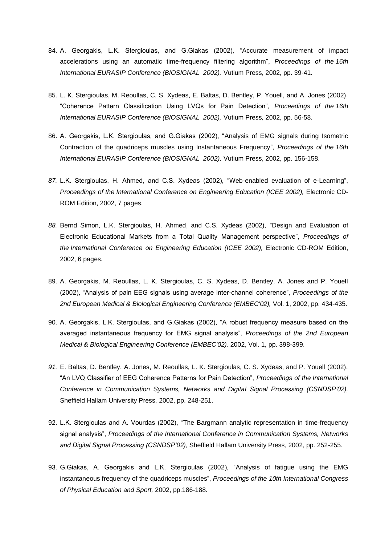- 84. A. Georgakis, L.K. Stergioulas, and G.Giakas (2002), "Accurate measurement of impact accelerations using an automatic time-frequency filtering algorithm", *Proceedings of the 16th International EURASIP Conference (BIOSIGNAL 2002),* Vutium Press, 2002, pp. 39-41.
- 85. L. K. Stergioulas, M. Reoullas, C. S. Xydeas, E. Baltas, D. Bentley, P. Youell, and A. Jones (2002), "Coherence Pattern Classification Using LVQs for Pain Detection", *Proceedings of the 16th International EURASIP Conference (BIOSIGNAL 2002),* Vutium Press*,* 2002, pp. 56-58.
- 86. A. Georgakis, L.K. Stergioulas, and G.Giakas (2002), "Analysis of EMG signals during Isometric Contraction of the quadriceps muscles using Instantaneous Frequency", *Proceedings of the 16th International EURASIP Conference (BIOSIGNAL 2002),* Vutium Press, 2002, pp. 156-158.
- *87.* L.K. Stergioulas, H. Ahmed, and C.S. Xydeas (2002), "Web-enabled evaluation of e-Learning", *Proceedings of the International Conference on Engineering Education (ICEE 2002),* Electronic CD-ROM Edition, 2002, 7 pages.
- *88.* Bernd Simon, L.K. Stergioulas, H. Ahmed, and C.S. Xydeas (2002), "Design and Evaluation of Electronic Educational Markets from a Total Quality Management perspective", *Proceedings of the International Conference on Engineering Education (ICEE 2002),* Electronic CD-ROM Edition, 2002, 6 pages.
- 89. A. Georgakis, M. Reoullas, L. K. Stergioulas, C. S. Xydeas, D. Bentley, A. Jones and P. Youell (2002), "Analysis of pain EEG signals using average inter-channel coherence", *Proceedings of the 2nd European Medical & Biological Engineering Conference (EMBEC'02),* Vol. 1, 2002, pp. 434-435.
- 90. A. Georgakis, L.K. Stergioulas, and G.Giakas (2002), "A robust frequency measure based on the averaged instantaneous frequency for EMG signal analysis", *Proceedings of the 2nd European Medical & Biological Engineering Conference (EMBEC'02),* 2002, Vol. 1, pp. 398-399.
- *91.* E. Baltas, D. Bentley, A. Jones, M. Reoullas, L. K. Stergioulas, C. S. Xydeas, and P. Youell (2002), "An LVQ Classifier of EEG Coherence Patterns for Pain Detection", *Proceedings of the International Conference in Communication Systems, Networks and Digital Signal Processing (CSNDSP'02),*  Sheffield Hallam University Press, 2002, pp. 248-251.
- 92. L.K. Stergioulas and A. Vourdas (2002), "The Bargmann analytic representation in time-frequency signal analysis", *Proceedings of the International Conference in Communication Systems, Networks and Digital Signal Processing (CSNDSP'02),* Sheffield Hallam University Press, 2002, pp. 252-255.
- 93. G.Giakas, A. Georgakis and L.K. Stergioulas (2002), "Analysis of fatigue using the EMG instantaneous frequency of the quadriceps muscles", *Proceedings of the 10th International Congress of Physical Education and Sport,* 2002, pp.186-188.